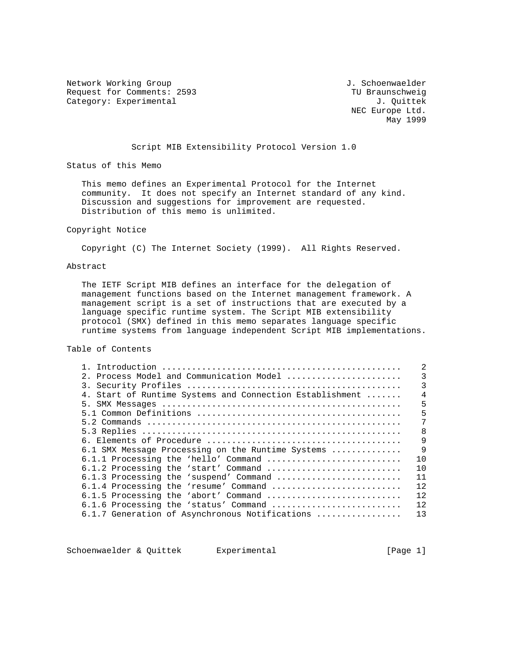Network Working Group and Month of the U.S. Schoenwaelder Request for Comments: 2593 TU Braunschweig<br>
Category: Experimental developments: 2593 TU Braunschweig<br>
J. Quittek Category: Experimental

 NEC Europe Ltd. May 1999

## Script MIB Extensibility Protocol Version 1.0

Status of this Memo

 This memo defines an Experimental Protocol for the Internet community. It does not specify an Internet standard of any kind. Discussion and suggestions for improvement are requested. Distribution of this memo is unlimited.

### Copyright Notice

Copyright (C) The Internet Society (1999). All Rights Reserved.

## Abstract

 The IETF Script MIB defines an interface for the delegation of management functions based on the Internet management framework. A management script is a set of instructions that are executed by a language specific runtime system. The Script MIB extensibility protocol (SMX) defined in this memo separates language specific runtime systems from language independent Script MIB implementations.

Table of Contents

| 2. Process Model and Communication Model                 | 3            |
|----------------------------------------------------------|--------------|
|                                                          | 3            |
| 4. Start of Runtime Systems and Connection Establishment | 4            |
|                                                          | 5            |
|                                                          | 5            |
|                                                          |              |
|                                                          | 8            |
|                                                          | 9            |
| 6.1 SMX Message Processing on the Runtime Systems        | $\mathsf{Q}$ |
| 6.1.1 Processing the 'hello' Command                     | 10           |
| 6.1.2 Processing the 'start' Command                     | 10           |
| 6.1.3 Processing the 'suspend' Command                   | 11           |
| 6.1.4 Processing the 'resume' Command                    | 12           |
| 6.1.5 Processing the 'abort' Command                     | 12.          |
| 6.1.6 Processing the 'status' Command                    | 12           |
| 6.1.7 Generation of Asynchronous Notifications           | 13           |

Schoenwaelder & Quittek Experimental [Page 1]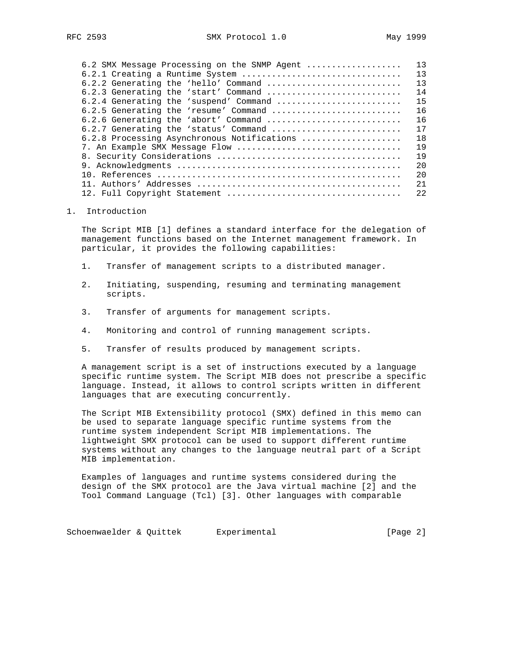| 6.2 SMX Message Processing on the SNMP Agent | 13  |
|----------------------------------------------|-----|
| 6.2.1 Creating a Runtime System              | 13  |
| 6.2.2 Generating the 'hello' Command         | 13  |
| 6.2.3 Generating the 'start' Command         | 14  |
| 6.2.4 Generating the 'suspend' Command       | 15  |
| 6.2.5 Generating the 'resume' Command        | 16  |
| 6.2.6 Generating the 'abort' Command         | 16  |
| $6.2.7$ Generating the 'status' Command      | 17  |
| 6.2.8 Processing Asynchronous Notifications  | 18  |
| 7. An Example SMX Message Flow               | 19  |
|                                              | 19  |
|                                              | 20  |
|                                              | 2.0 |
|                                              | 21  |
|                                              | 2.2 |

### 1. Introduction

 The Script MIB [1] defines a standard interface for the delegation of management functions based on the Internet management framework. In particular, it provides the following capabilities:

- 1. Transfer of management scripts to a distributed manager.
- 2. Initiating, suspending, resuming and terminating management scripts.
- 3. Transfer of arguments for management scripts.
- 4. Monitoring and control of running management scripts.
- 5. Transfer of results produced by management scripts.

 A management script is a set of instructions executed by a language specific runtime system. The Script MIB does not prescribe a specific language. Instead, it allows to control scripts written in different languages that are executing concurrently.

 The Script MIB Extensibility protocol (SMX) defined in this memo can be used to separate language specific runtime systems from the runtime system independent Script MIB implementations. The lightweight SMX protocol can be used to support different runtime systems without any changes to the language neutral part of a Script MIB implementation.

 Examples of languages and runtime systems considered during the design of the SMX protocol are the Java virtual machine [2] and the Tool Command Language (Tcl) [3]. Other languages with comparable

Schoenwaelder & Quittek Experimental [Page 2]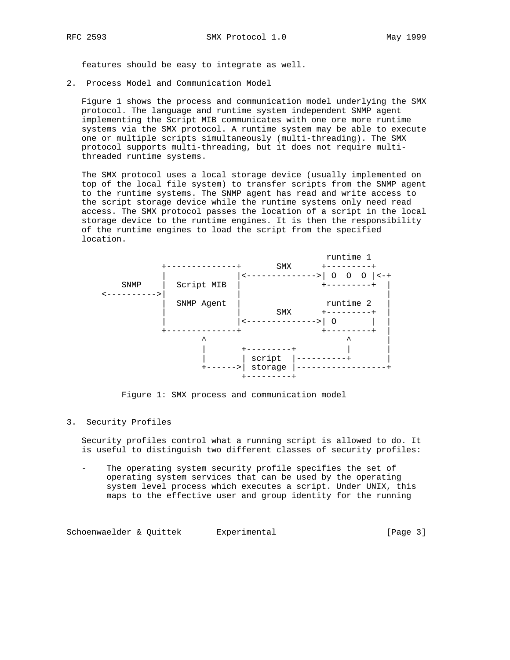features should be easy to integrate as well.

2. Process Model and Communication Model

 Figure 1 shows the process and communication model underlying the SMX protocol. The language and runtime system independent SNMP agent implementing the Script MIB communicates with one ore more runtime systems via the SMX protocol. A runtime system may be able to execute one or multiple scripts simultaneously (multi-threading). The SMX protocol supports multi-threading, but it does not require multi threaded runtime systems.

 The SMX protocol uses a local storage device (usually implemented on top of the local file system) to transfer scripts from the SNMP agent to the runtime systems. The SNMP agent has read and write access to the script storage device while the runtime systems only need read access. The SMX protocol passes the location of a script in the local storage device to the runtime engines. It is then the responsibility of the runtime engines to load the script from the specified location.



Figure 1: SMX process and communication model

### 3. Security Profiles

 Security profiles control what a running script is allowed to do. It is useful to distinguish two different classes of security profiles:

The operating system security profile specifies the set of operating system services that can be used by the operating system level process which executes a script. Under UNIX, this maps to the effective user and group identity for the running

Schoenwaelder & Quittek Experimental Change 31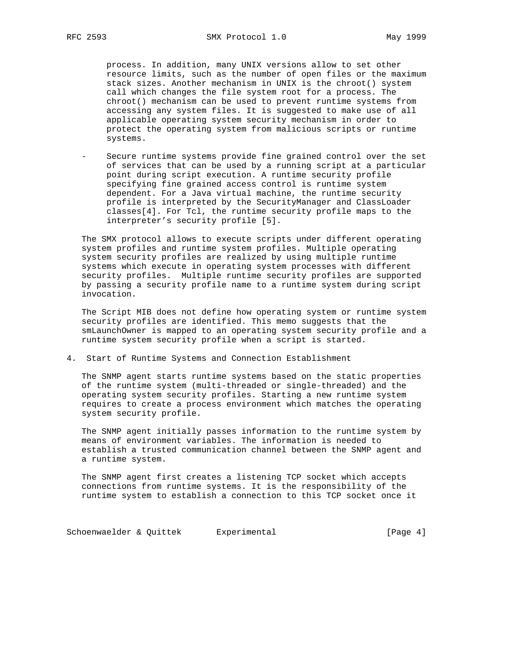process. In addition, many UNIX versions allow to set other resource limits, such as the number of open files or the maximum stack sizes. Another mechanism in UNIX is the chroot() system call which changes the file system root for a process. The chroot() mechanism can be used to prevent runtime systems from accessing any system files. It is suggested to make use of all applicable operating system security mechanism in order to protect the operating system from malicious scripts or runtime systems.

Secure runtime systems provide fine grained control over the set of services that can be used by a running script at a particular point during script execution. A runtime security profile specifying fine grained access control is runtime system dependent. For a Java virtual machine, the runtime security profile is interpreted by the SecurityManager and ClassLoader classes[4]. For Tcl, the runtime security profile maps to the interpreter's security profile [5].

 The SMX protocol allows to execute scripts under different operating system profiles and runtime system profiles. Multiple operating system security profiles are realized by using multiple runtime systems which execute in operating system processes with different security profiles. Multiple runtime security profiles are supported by passing a security profile name to a runtime system during script invocation.

 The Script MIB does not define how operating system or runtime system security profiles are identified. This memo suggests that the smLaunchOwner is mapped to an operating system security profile and a runtime system security profile when a script is started.

4. Start of Runtime Systems and Connection Establishment

 The SNMP agent starts runtime systems based on the static properties of the runtime system (multi-threaded or single-threaded) and the operating system security profiles. Starting a new runtime system requires to create a process environment which matches the operating system security profile.

 The SNMP agent initially passes information to the runtime system by means of environment variables. The information is needed to establish a trusted communication channel between the SNMP agent and a runtime system.

 The SNMP agent first creates a listening TCP socket which accepts connections from runtime systems. It is the responsibility of the runtime system to establish a connection to this TCP socket once it

Schoenwaelder & Quittek Experimental Change 4]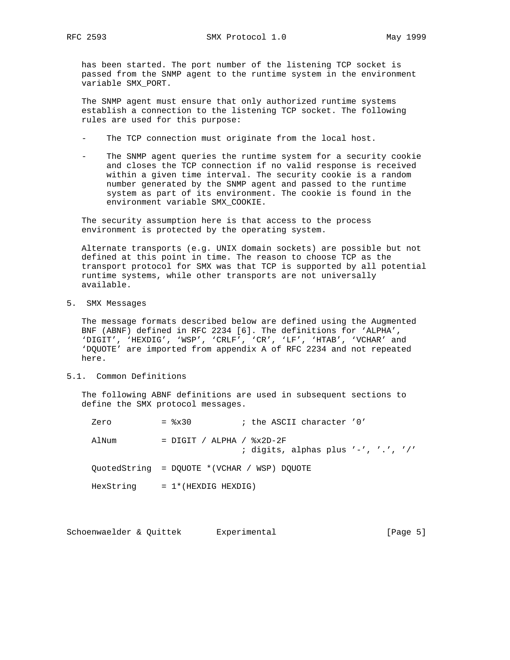has been started. The port number of the listening TCP socket is passed from the SNMP agent to the runtime system in the environment variable SMX\_PORT.

 The SNMP agent must ensure that only authorized runtime systems establish a connection to the listening TCP socket. The following rules are used for this purpose:

- The TCP connection must originate from the local host.
- The SNMP agent queries the runtime system for a security cookie and closes the TCP connection if no valid response is received within a given time interval. The security cookie is a random number generated by the SNMP agent and passed to the runtime system as part of its environment. The cookie is found in the environment variable SMX\_COOKIE.

 The security assumption here is that access to the process environment is protected by the operating system.

 Alternate transports (e.g. UNIX domain sockets) are possible but not defined at this point in time. The reason to choose TCP as the transport protocol for SMX was that TCP is supported by all potential runtime systems, while other transports are not universally available.

5. SMX Messages

 The message formats described below are defined using the Augmented BNF (ABNF) defined in RFC 2234 [6]. The definitions for 'ALPHA', 'DIGIT', 'HEXDIG', 'WSP', 'CRLF', 'CR', 'LF', 'HTAB', 'VCHAR' and 'DQUOTE' are imported from appendix A of RFC 2234 and not repeated here.

5.1. Common Definitions

 The following ABNF definitions are used in subsequent sections to define the SMX protocol messages.

| Zero      | $=$ $\frac{8 \times 30}{ }$                 | ; the ASCII character '0'           |
|-----------|---------------------------------------------|-------------------------------------|
| AlNum     | $=$ DIGIT / ALPHA / $\&$ x2D-2F             | ; digits, alphas plus '-', '.', '/' |
|           | OuotedString = DOUOTE *(VCHAR / WSP) DOUOTE |                                     |
| HexString | $= 1$ * (HEXDIG HEXDIG)                     |                                     |

Schoenwaelder & Quittek Experimental [Page 5]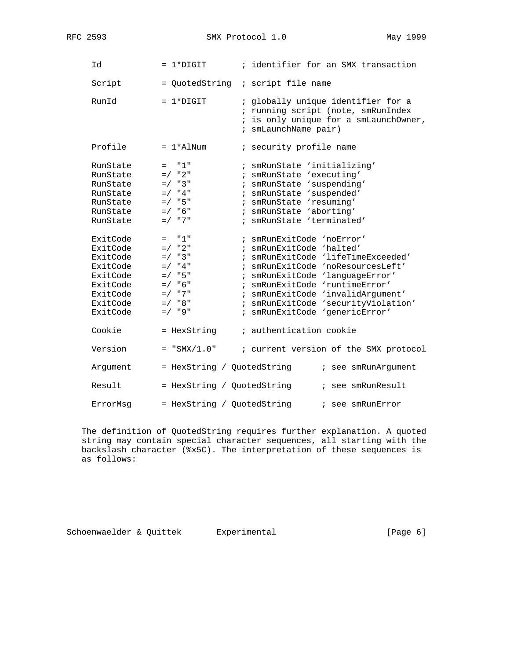RFC 2593 SMX Protocol 1.0 May 1999

| Id                                                                                                       | $= 1*DTGIT$                                                                                                                      | ; identifier for an SMX transaction                                                                                                                                                                                                                                                                                 |
|----------------------------------------------------------------------------------------------------------|----------------------------------------------------------------------------------------------------------------------------------|---------------------------------------------------------------------------------------------------------------------------------------------------------------------------------------------------------------------------------------------------------------------------------------------------------------------|
| Script                                                                                                   |                                                                                                                                  | = QuotedString ; script file name                                                                                                                                                                                                                                                                                   |
| RunId                                                                                                    | $= 1*DTGIT$                                                                                                                      | ; globally unique identifier for a<br>; running script (note, smRunIndex<br>; is only unique for a smLaunchOwner,<br>; smLaunchName pair)                                                                                                                                                                           |
| Profile                                                                                                  | $= 1*$ AlNum                                                                                                                     | ; security profile name                                                                                                                                                                                                                                                                                             |
| RunState<br>RunState<br>RunState<br>RunState<br>RunState<br>RunState<br>RunState                         | "1"<br>$=$ $-$<br>$=$ / $"2"$<br>$= / 3$ "<br>$= 7$ "4"<br>$= / 15$<br>$=$ / $"6"$<br>$=$ / $"7"$                                | ; smRunState 'initializing'<br>; smRunState 'executing'<br>; smRunState 'suspending'<br>; smRunState 'suspended'<br>; smRunState 'resuming'<br>; smRunState 'aborting'<br>; smRunState 'terminated'                                                                                                                 |
| ExitCode<br>ExitCode<br>ExitCode<br>ExitCode<br>ExitCode<br>ExitCode<br>ExitCode<br>ExitCode<br>ExitCode | "1"<br>$=$<br>$=$ / $"2"$<br>$= 7 \times 3$ "<br>$=$ / $"4"$<br>$= / 15$<br>$= 7$ "6"<br>$=$ / $"7"$<br>$=$ / $"8"$<br>$= /$ "9" | ; smRunExitCode 'noError'<br>; smRunExitCode 'halted'<br>; smRunExitCode 'lifeTimeExceeded'<br>; smRunExitCode 'noResourcesLeft'<br>; smRunExitCode 'languageError'<br>; smRunExitCode 'runtimeError'<br>; smRunExitCode 'invalidArgument'<br>; smRunExitCode 'securityViolation'<br>; smRunExitCode 'genericError' |
| Cookie<br>Version                                                                                        | = HexString                                                                                                                      | ; authentication cookie                                                                                                                                                                                                                                                                                             |
| Argument                                                                                                 | $= "SMX/1.0"$<br>= HexString / QuotedString                                                                                      | ; current version of the SMX protocol<br>; see smRunArgument                                                                                                                                                                                                                                                        |
| Result                                                                                                   | = HexString / QuotedString                                                                                                       | ; see smRunResult                                                                                                                                                                                                                                                                                                   |
| ErrorMsq                                                                                                 | = HexString / QuotedString                                                                                                       | ; see smRunError                                                                                                                                                                                                                                                                                                    |

 The definition of QuotedString requires further explanation. A quoted string may contain special character sequences, all starting with the backslash character (%x5C). The interpretation of these sequences is as follows:

Schoenwaelder & Quittek Experimental (Page 6)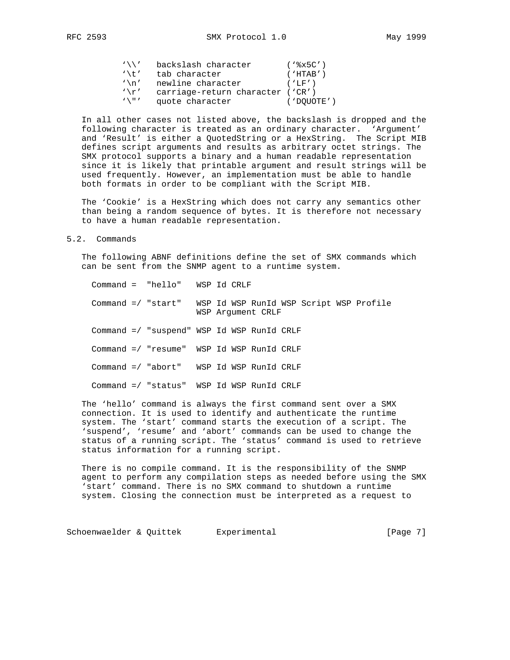| $\sqrt{2}$ | backslash character              | $($ ' $8x5C'$ ) |
|------------|----------------------------------|-----------------|
| $'$ \t '   | tab character                    | ( 'HTAB' )      |
| $\ln$      | newline character                | ( 'LF' )        |
| $'$ \r'    | carriage-return character ('CR') |                 |

'\"' quote character ('DQUOTE')

 In all other cases not listed above, the backslash is dropped and the following character is treated as an ordinary character. 'Argument' and 'Result' is either a QuotedString or a HexString. The Script MIB defines script arguments and results as arbitrary octet strings. The SMX protocol supports a binary and a human readable representation since it is likely that printable argument and result strings will be used frequently. However, an implementation must be able to handle both formats in order to be compliant with the Script MIB.

 The 'Cookie' is a HexString which does not carry any semantics other than being a random sequence of bytes. It is therefore not necessary to have a human readable representation.

5.2. Commands

 The following ABNF definitions define the set of SMX commands which can be sent from the SNMP agent to a runtime system.

 Command = "hello" WSP Id CRLF Command =/ "start" WSP Id WSP RunId WSP Script WSP Profile WSP Argument CRLF Command =/ "suspend" WSP Id WSP RunId CRLF Command =/ "resume" WSP Id WSP RunId CRLF Command =/ "abort" WSP Id WSP RunId CRLF Command =/ "status" WSP Id WSP RunId CRLF

 The 'hello' command is always the first command sent over a SMX connection. It is used to identify and authenticate the runtime system. The 'start' command starts the execution of a script. The 'suspend', 'resume' and 'abort' commands can be used to change the status of a running script. The 'status' command is used to retrieve status information for a running script.

 There is no compile command. It is the responsibility of the SNMP agent to perform any compilation steps as needed before using the SMX 'start' command. There is no SMX command to shutdown a runtime system. Closing the connection must be interpreted as a request to

Schoenwaelder & Quittek Experimental (Page 7)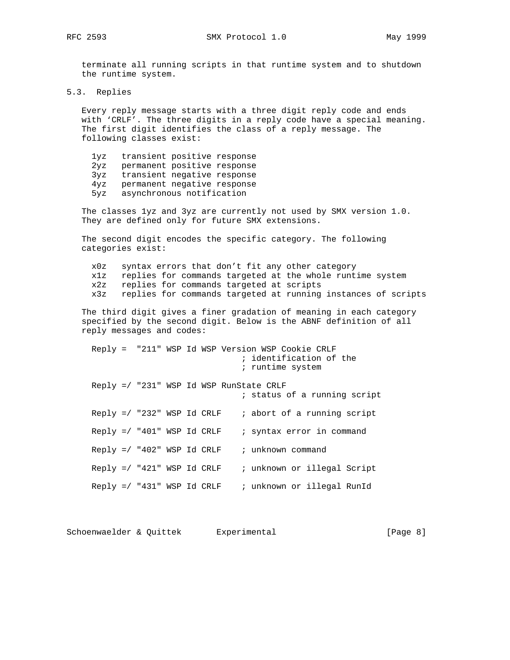RFC 2593 SMX Protocol 1.0 May 1999

 terminate all running scripts in that runtime system and to shutdown the runtime system.

5.3. Replies

 Every reply message starts with a three digit reply code and ends with 'CRLF'. The three digits in a reply code have a special meaning. The first digit identifies the class of a reply message. The following classes exist:

 1yz transient positive response 2yz permanent positive response 3yz transient negative response 4yz permanent negative response 5yz asynchronous notification

 The classes 1yz and 3yz are currently not used by SMX version 1.0. They are defined only for future SMX extensions.

 The second digit encodes the specific category. The following categories exist:

 x0z syntax errors that don't fit any other category x1z replies for commands targeted at the whole runtime system x2z replies for commands targeted at scripts x3z replies for commands targeted at running instances of scripts

 The third digit gives a finer gradation of meaning in each category specified by the second digit. Below is the ABNF definition of all reply messages and codes:

 Reply = "211" WSP Id WSP Version WSP Cookie CRLF ; identification of the ; runtime system Reply =/ "231" WSP Id WSP RunState CRLF ; status of a running script Reply =/ "232" WSP Id CRLF  $\quad$  ; abort of a running script Reply  $=$ / "401" WSP Id CRLF  $\qquad$  ; syntax error in command  $Reply$  =/ "402" WSP Id CRLF  $\quad$  ; unknown command Reply  $=$ / "421" WSP Id CRLF  $\quad$  ; unknown or illegal Script Reply  $=$ / "431" WSP Id CRLF  $\qquad$ ; unknown or illegal RunId

Schoenwaelder & Quittek Experimental (Page 8)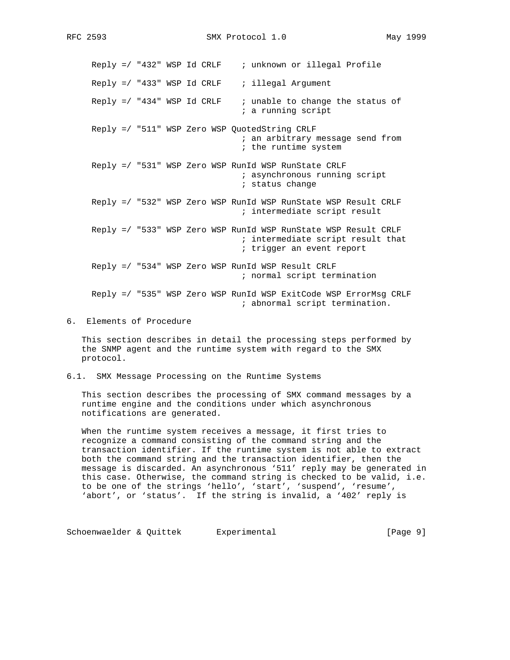Reply =/ "432" WSP Id CRLF ; unknown or illegal Profile Reply  $=$ / "433" WSP Id CRLF  $\qquad$  ; illegal Argument Reply  $=$ / "434" WSP Id CRLF  $\qquad$ ; unable to change the status of ; a running script Reply =/ "511" WSP Zero WSP QuotedString CRLF ; an arbitrary message send from ; the runtime system Reply =/ "531" WSP Zero WSP RunId WSP RunState CRLF ; asynchronous running script ; status change Reply =/ "532" WSP Zero WSP RunId WSP RunState WSP Result CRLF ; intermediate script result Reply =/ "533" WSP Zero WSP RunId WSP RunState WSP Result CRLF ; intermediate script result that ; trigger an event report Reply =/ "534" WSP Zero WSP RunId WSP Result CRLF ; normal script termination Reply =/ "535" WSP Zero WSP RunId WSP ExitCode WSP ErrorMsg CRLF ; abnormal script termination.

6. Elements of Procedure

 This section describes in detail the processing steps performed by the SNMP agent and the runtime system with regard to the SMX protocol.

6.1. SMX Message Processing on the Runtime Systems

 This section describes the processing of SMX command messages by a runtime engine and the conditions under which asynchronous notifications are generated.

When the runtime system receives a message, it first tries to recognize a command consisting of the command string and the transaction identifier. If the runtime system is not able to extract both the command string and the transaction identifier, then the message is discarded. An asynchronous '511' reply may be generated in this case. Otherwise, the command string is checked to be valid, i.e. to be one of the strings 'hello', 'start', 'suspend', 'resume', 'abort', or 'status'. If the string is invalid, a '402' reply is

Schoenwaelder & Quittek Experimental (Page 9)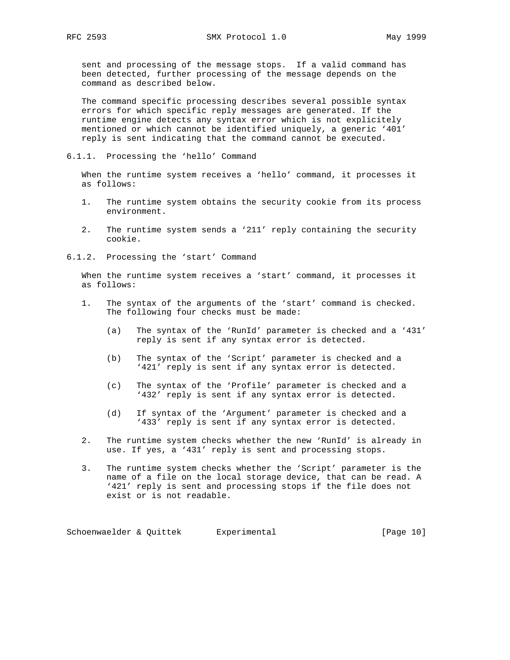sent and processing of the message stops. If a valid command has been detected, further processing of the message depends on the command as described below.

 The command specific processing describes several possible syntax errors for which specific reply messages are generated. If the runtime engine detects any syntax error which is not explicitely mentioned or which cannot be identified uniquely, a generic '401' reply is sent indicating that the command cannot be executed.

6.1.1. Processing the 'hello' Command

 When the runtime system receives a 'hello' command, it processes it as follows:

- 1. The runtime system obtains the security cookie from its process environment.
- 2. The runtime system sends a '211' reply containing the security cookie.
- 6.1.2. Processing the 'start' Command

 When the runtime system receives a 'start' command, it processes it as follows:

- 1. The syntax of the arguments of the 'start' command is checked. The following four checks must be made:
	- (a) The syntax of the 'RunId' parameter is checked and a '431' reply is sent if any syntax error is detected.
	- (b) The syntax of the 'Script' parameter is checked and a '421' reply is sent if any syntax error is detected.
	- (c) The syntax of the 'Profile' parameter is checked and a '432' reply is sent if any syntax error is detected.
	- (d) If syntax of the 'Argument' parameter is checked and a '433' reply is sent if any syntax error is detected.
- 2. The runtime system checks whether the new 'RunId' is already in use. If yes, a '431' reply is sent and processing stops.
- 3. The runtime system checks whether the 'Script' parameter is the name of a file on the local storage device, that can be read. A '421' reply is sent and processing stops if the file does not exist or is not readable.

Schoenwaelder & Quittek Experimental (Page 10)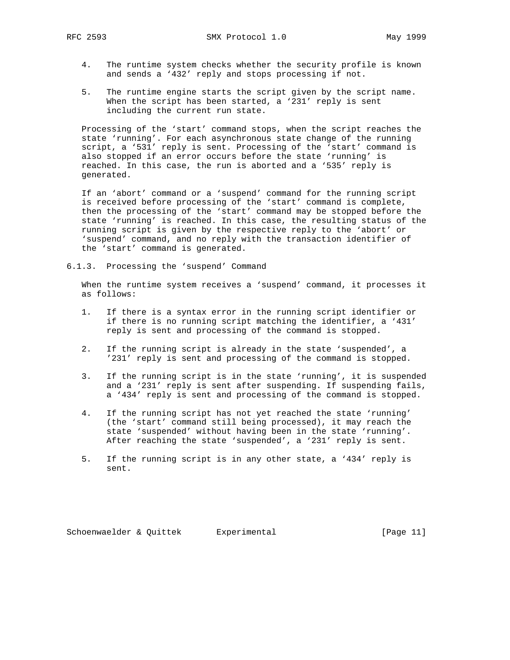RFC 2593 SMX Protocol 1.0 May 1999

- 4. The runtime system checks whether the security profile is known and sends a '432' reply and stops processing if not.
- 5. The runtime engine starts the script given by the script name. When the script has been started, a '231' reply is sent including the current run state.

 Processing of the 'start' command stops, when the script reaches the state 'running'. For each asynchronous state change of the running script, a '531' reply is sent. Processing of the 'start' command is also stopped if an error occurs before the state 'running' is reached. In this case, the run is aborted and a '535' reply is generated.

 If an 'abort' command or a 'suspend' command for the running script is received before processing of the 'start' command is complete, then the processing of the 'start' command may be stopped before the state 'running' is reached. In this case, the resulting status of the running script is given by the respective reply to the 'abort' or 'suspend' command, and no reply with the transaction identifier of the 'start' command is generated.

6.1.3. Processing the 'suspend' Command

 When the runtime system receives a 'suspend' command, it processes it as follows:

- 1. If there is a syntax error in the running script identifier or if there is no running script matching the identifier, a '431' reply is sent and processing of the command is stopped.
- 2. If the running script is already in the state 'suspended', a '231' reply is sent and processing of the command is stopped.
- 3. If the running script is in the state 'running', it is suspended and a '231' reply is sent after suspending. If suspending fails, a '434' reply is sent and processing of the command is stopped.
- 4. If the running script has not yet reached the state 'running' (the 'start' command still being processed), it may reach the state 'suspended' without having been in the state 'running'. After reaching the state 'suspended', a '231' reply is sent.
- 5. If the running script is in any other state, a '434' reply is sent.

Schoenwaelder & Quittek Experimental [Page 11]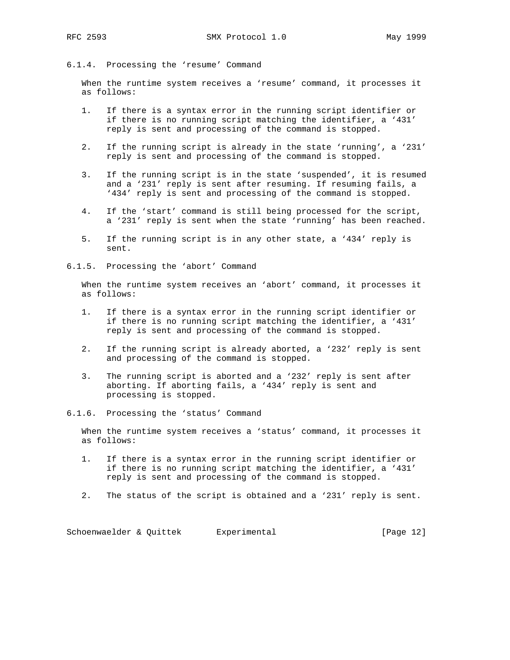#### 6.1.4. Processing the 'resume' Command

 When the runtime system receives a 'resume' command, it processes it as follows:

- 1. If there is a syntax error in the running script identifier or if there is no running script matching the identifier, a '431' reply is sent and processing of the command is stopped.
- 2. If the running script is already in the state 'running', a '231' reply is sent and processing of the command is stopped.
- 3. If the running script is in the state 'suspended', it is resumed and a '231' reply is sent after resuming. If resuming fails, a '434' reply is sent and processing of the command is stopped.
- 4. If the 'start' command is still being processed for the script, a '231' reply is sent when the state 'running' has been reached.
- 5. If the running script is in any other state, a '434' reply is sent.
- 6.1.5. Processing the 'abort' Command

 When the runtime system receives an 'abort' command, it processes it as follows:

- 1. If there is a syntax error in the running script identifier or if there is no running script matching the identifier, a '431' reply is sent and processing of the command is stopped.
- 2. If the running script is already aborted, a '232' reply is sent and processing of the command is stopped.
- 3. The running script is aborted and a '232' reply is sent after aborting. If aborting fails, a '434' reply is sent and processing is stopped.
- 6.1.6. Processing the 'status' Command

 When the runtime system receives a 'status' command, it processes it as follows:

- 1. If there is a syntax error in the running script identifier or if there is no running script matching the identifier, a '431' reply is sent and processing of the command is stopped.
- 2. The status of the script is obtained and a '231' reply is sent.

Schoenwaelder & Quittek Experimental (Page 12)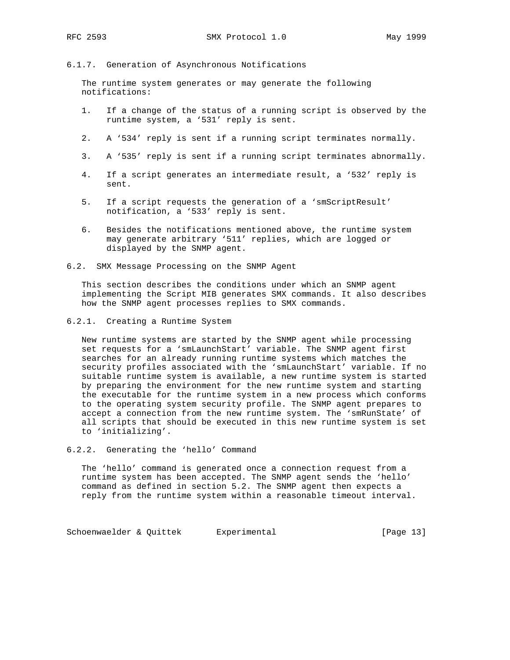# 6.1.7. Generation of Asynchronous Notifications

 The runtime system generates or may generate the following notifications:

- 1. If a change of the status of a running script is observed by the runtime system, a '531' reply is sent.
- 2. A '534' reply is sent if a running script terminates normally.
- 3. A '535' reply is sent if a running script terminates abnormally.
- 4. If a script generates an intermediate result, a '532' reply is sent.
- 5. If a script requests the generation of a 'smScriptResult' notification, a '533' reply is sent.
- 6. Besides the notifications mentioned above, the runtime system may generate arbitrary '511' replies, which are logged or displayed by the SNMP agent.
- 6.2. SMX Message Processing on the SNMP Agent

 This section describes the conditions under which an SNMP agent implementing the Script MIB generates SMX commands. It also describes how the SNMP agent processes replies to SMX commands.

6.2.1. Creating a Runtime System

 New runtime systems are started by the SNMP agent while processing set requests for a 'smLaunchStart' variable. The SNMP agent first searches for an already running runtime systems which matches the security profiles associated with the 'smLaunchStart' variable. If no suitable runtime system is available, a new runtime system is started by preparing the environment for the new runtime system and starting the executable for the runtime system in a new process which conforms to the operating system security profile. The SNMP agent prepares to accept a connection from the new runtime system. The 'smRunState' of all scripts that should be executed in this new runtime system is set to 'initializing'.

6.2.2. Generating the 'hello' Command

 The 'hello' command is generated once a connection request from a runtime system has been accepted. The SNMP agent sends the 'hello' command as defined in section 5.2. The SNMP agent then expects a reply from the runtime system within a reasonable timeout interval.

Schoenwaelder & Quittek Experimental (Page 13)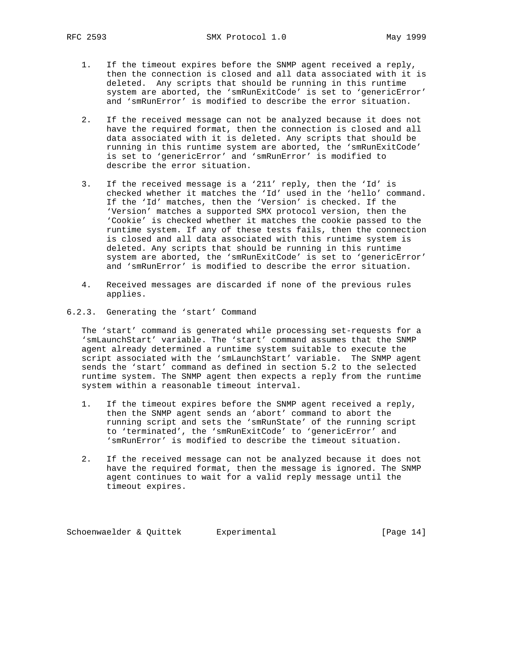- 1. If the timeout expires before the SNMP agent received a reply, then the connection is closed and all data associated with it is deleted. Any scripts that should be running in this runtime system are aborted, the 'smRunExitCode' is set to 'genericError' and 'smRunError' is modified to describe the error situation.
- 2. If the received message can not be analyzed because it does not have the required format, then the connection is closed and all data associated with it is deleted. Any scripts that should be running in this runtime system are aborted, the 'smRunExitCode' is set to 'genericError' and 'smRunError' is modified to describe the error situation.
- 3. If the received message is a '211' reply, then the 'Id' is checked whether it matches the 'Id' used in the 'hello' command. If the 'Id' matches, then the 'Version' is checked. If the 'Version' matches a supported SMX protocol version, then the 'Cookie' is checked whether it matches the cookie passed to the runtime system. If any of these tests fails, then the connection is closed and all data associated with this runtime system is deleted. Any scripts that should be running in this runtime system are aborted, the 'smRunExitCode' is set to 'genericError' and 'smRunError' is modified to describe the error situation.
- 4. Received messages are discarded if none of the previous rules applies.
- 6.2.3. Generating the 'start' Command

 The 'start' command is generated while processing set-requests for a 'smLaunchStart' variable. The 'start' command assumes that the SNMP agent already determined a runtime system suitable to execute the script associated with the 'smLaunchStart' variable. The SNMP agent sends the 'start' command as defined in section 5.2 to the selected runtime system. The SNMP agent then expects a reply from the runtime system within a reasonable timeout interval.

- 1. If the timeout expires before the SNMP agent received a reply, then the SNMP agent sends an 'abort' command to abort the running script and sets the 'smRunState' of the running script to 'terminated', the 'smRunExitCode' to 'genericError' and 'smRunError' is modified to describe the timeout situation.
- 2. If the received message can not be analyzed because it does not have the required format, then the message is ignored. The SNMP agent continues to wait for a valid reply message until the timeout expires.

Schoenwaelder & Quittek Experimental [Page 14]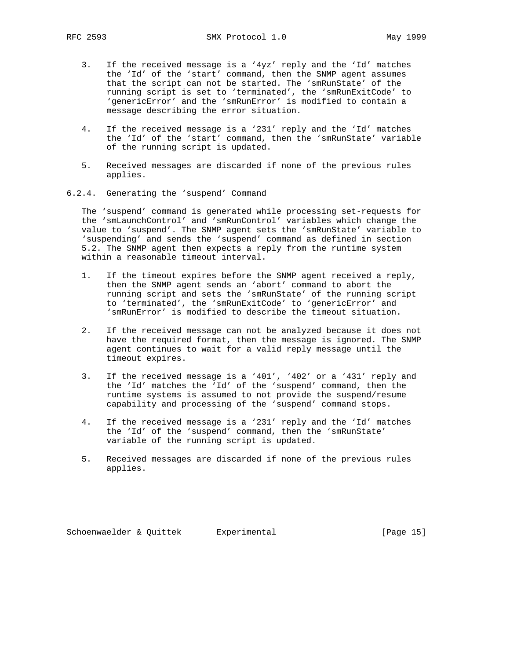- 3. If the received message is a '4yz' reply and the 'Id' matches the 'Id' of the 'start' command, then the SNMP agent assumes that the script can not be started. The 'smRunState' of the running script is set to 'terminated', the 'smRunExitCode' to 'genericError' and the 'smRunError' is modified to contain a message describing the error situation.
	- 4. If the received message is a '231' reply and the 'Id' matches the 'Id' of the 'start' command, then the 'smRunState' variable of the running script is updated.
	- 5. Received messages are discarded if none of the previous rules applies.
- 6.2.4. Generating the 'suspend' Command

 The 'suspend' command is generated while processing set-requests for the 'smLaunchControl' and 'smRunControl' variables which change the value to 'suspend'. The SNMP agent sets the 'smRunState' variable to 'suspending' and sends the 'suspend' command as defined in section 5.2. The SNMP agent then expects a reply from the runtime system within a reasonable timeout interval.

- 1. If the timeout expires before the SNMP agent received a reply, then the SNMP agent sends an 'abort' command to abort the running script and sets the 'smRunState' of the running script to 'terminated', the 'smRunExitCode' to 'genericError' and 'smRunError' is modified to describe the timeout situation.
	- 2. If the received message can not be analyzed because it does not have the required format, then the message is ignored. The SNMP agent continues to wait for a valid reply message until the timeout expires.
	- 3. If the received message is a '401', '402' or a '431' reply and the 'Id' matches the 'Id' of the 'suspend' command, then the runtime systems is assumed to not provide the suspend/resume capability and processing of the 'suspend' command stops.
	- 4. If the received message is a '231' reply and the 'Id' matches the 'Id' of the 'suspend' command, then the 'smRunState' variable of the running script is updated.
	- 5. Received messages are discarded if none of the previous rules applies.

Schoenwaelder & Quittek Experimental [Page 15]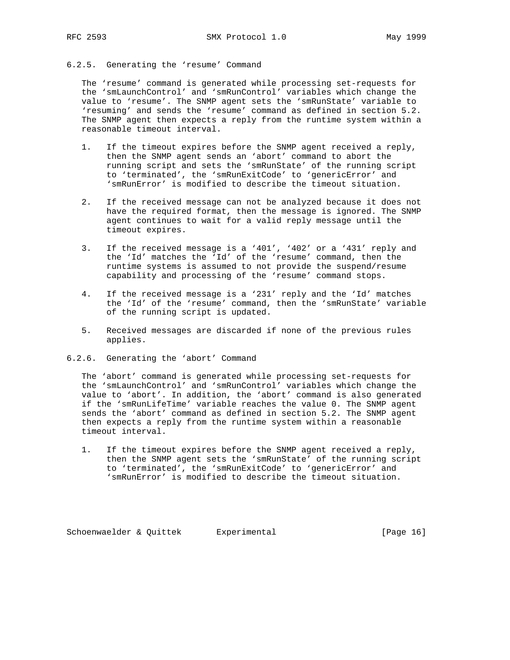### 6.2.5. Generating the 'resume' Command

 The 'resume' command is generated while processing set-requests for the 'smLaunchControl' and 'smRunControl' variables which change the value to 'resume'. The SNMP agent sets the 'smRunState' variable to 'resuming' and sends the 'resume' command as defined in section 5.2. The SNMP agent then expects a reply from the runtime system within a reasonable timeout interval.

- 1. If the timeout expires before the SNMP agent received a reply, then the SNMP agent sends an 'abort' command to abort the running script and sets the 'smRunState' of the running script to 'terminated', the 'smRunExitCode' to 'genericError' and 'smRunError' is modified to describe the timeout situation.
- 2. If the received message can not be analyzed because it does not have the required format, then the message is ignored. The SNMP agent continues to wait for a valid reply message until the timeout expires.
- 3. If the received message is a '401', '402' or a '431' reply and the 'Id' matches the 'Id' of the 'resume' command, then the runtime systems is assumed to not provide the suspend/resume capability and processing of the 'resume' command stops.
- 4. If the received message is a '231' reply and the 'Id' matches the 'Id' of the 'resume' command, then the 'smRunState' variable of the running script is updated.
- 5. Received messages are discarded if none of the previous rules applies.
- 6.2.6. Generating the 'abort' Command

 The 'abort' command is generated while processing set-requests for the 'smLaunchControl' and 'smRunControl' variables which change the value to 'abort'. In addition, the 'abort' command is also generated if the 'smRunLifeTime' variable reaches the value 0. The SNMP agent sends the 'abort' command as defined in section 5.2. The SNMP agent then expects a reply from the runtime system within a reasonable timeout interval.

 1. If the timeout expires before the SNMP agent received a reply, then the SNMP agent sets the 'smRunState' of the running script to 'terminated', the 'smRunExitCode' to 'genericError' and 'smRunError' is modified to describe the timeout situation.

Schoenwaelder & Quittek Experimental (Page 16)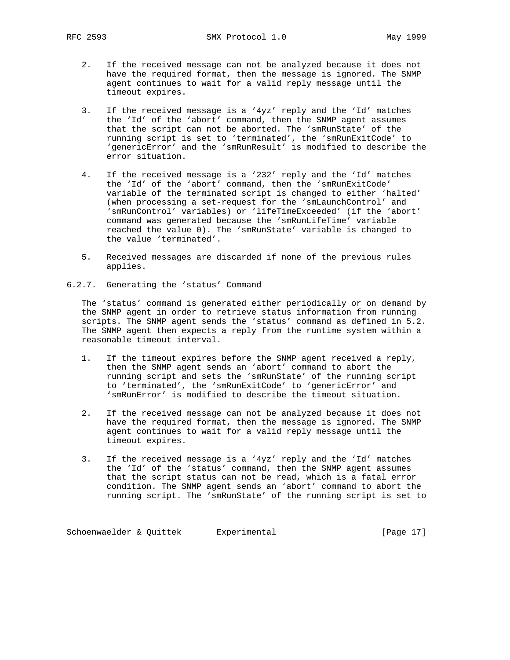- 2. If the received message can not be analyzed because it does not have the required format, then the message is ignored. The SNMP agent continues to wait for a valid reply message until the timeout expires.
- 3. If the received message is a '4yz' reply and the 'Id' matches the 'Id' of the 'abort' command, then the SNMP agent assumes that the script can not be aborted. The 'smRunState' of the running script is set to 'terminated', the 'smRunExitCode' to 'genericError' and the 'smRunResult' is modified to describe the error situation.
- 4. If the received message is a '232' reply and the 'Id' matches the 'Id' of the 'abort' command, then the 'smRunExitCode' variable of the terminated script is changed to either 'halted' (when processing a set-request for the 'smLaunchControl' and 'smRunControl' variables) or 'lifeTimeExceeded' (if the 'abort' command was generated because the 'smRunLifeTime' variable reached the value 0). The 'smRunState' variable is changed to the value 'terminated'.
- 5. Received messages are discarded if none of the previous rules applies.
- 6.2.7. Generating the 'status' Command

 The 'status' command is generated either periodically or on demand by the SNMP agent in order to retrieve status information from running scripts. The SNMP agent sends the 'status' command as defined in 5.2. The SNMP agent then expects a reply from the runtime system within a reasonable timeout interval.

- 1. If the timeout expires before the SNMP agent received a reply, then the SNMP agent sends an 'abort' command to abort the running script and sets the 'smRunState' of the running script to 'terminated', the 'smRunExitCode' to 'genericError' and 'smRunError' is modified to describe the timeout situation.
- 2. If the received message can not be analyzed because it does not have the required format, then the message is ignored. The SNMP agent continues to wait for a valid reply message until the timeout expires.
- 3. If the received message is a '4yz' reply and the 'Id' matches the 'Id' of the 'status' command, then the SNMP agent assumes that the script status can not be read, which is a fatal error condition. The SNMP agent sends an 'abort' command to abort the running script. The 'smRunState' of the running script is set to

Schoenwaelder & Quittek Experimental (Page 17)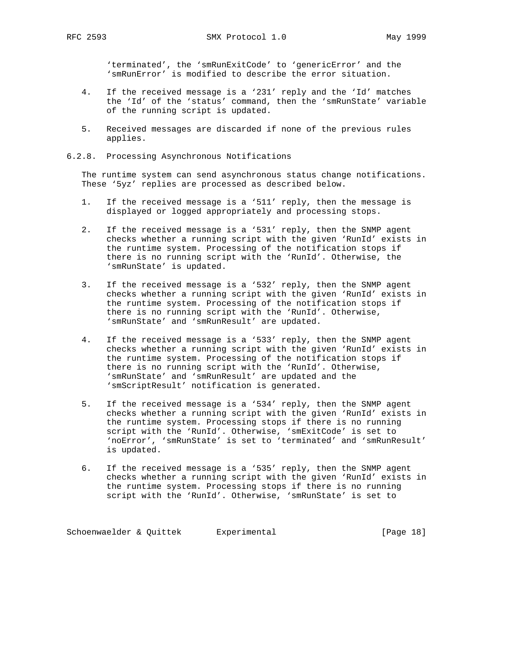'terminated', the 'smRunExitCode' to 'genericError' and the 'smRunError' is modified to describe the error situation.

- 4. If the received message is a '231' reply and the 'Id' matches the 'Id' of the 'status' command, then the 'smRunState' variable of the running script is updated.
- 5. Received messages are discarded if none of the previous rules applies.
- 6.2.8. Processing Asynchronous Notifications

 The runtime system can send asynchronous status change notifications. These '5yz' replies are processed as described below.

- 1. If the received message is a '511' reply, then the message is displayed or logged appropriately and processing stops.
- 2. If the received message is a '531' reply, then the SNMP agent checks whether a running script with the given 'RunId' exists in the runtime system. Processing of the notification stops if there is no running script with the 'RunId'. Otherwise, the 'smRunState' is updated.
- 3. If the received message is a '532' reply, then the SNMP agent checks whether a running script with the given 'RunId' exists in the runtime system. Processing of the notification stops if there is no running script with the 'RunId'. Otherwise, 'smRunState' and 'smRunResult' are updated.
- 4. If the received message is a '533' reply, then the SNMP agent checks whether a running script with the given 'RunId' exists in the runtime system. Processing of the notification stops if there is no running script with the 'RunId'. Otherwise, 'smRunState' and 'smRunResult' are updated and the 'smScriptResult' notification is generated.
- 5. If the received message is a '534' reply, then the SNMP agent checks whether a running script with the given 'RunId' exists in the runtime system. Processing stops if there is no running script with the 'RunId'. Otherwise, 'smExitCode' is set to 'noError', 'smRunState' is set to 'terminated' and 'smRunResult' is updated.
- 6. If the received message is a '535' reply, then the SNMP agent checks whether a running script with the given 'RunId' exists in the runtime system. Processing stops if there is no running script with the 'RunId'. Otherwise, 'smRunState' is set to

Schoenwaelder & Quittek Experimental (Page 18)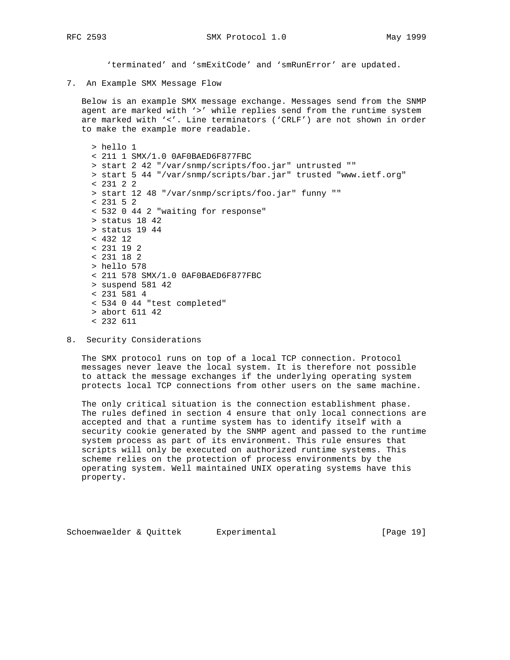'terminated' and 'smExitCode' and 'smRunError' are updated.

7. An Example SMX Message Flow

 Below is an example SMX message exchange. Messages send from the SNMP agent are marked with '>' while replies send from the runtime system are marked with '<'. Line terminators ('CRLF') are not shown in order to make the example more readable.

```
 > hello 1
 < 211 1 SMX/1.0 0AF0BAED6F877FBC
 > start 2 42 "/var/snmp/scripts/foo.jar" untrusted ""
 > start 5 44 "/var/snmp/scripts/bar.jar" trusted "www.ietf.org"
 < 231 2 2
 > start 12 48 "/var/snmp/scripts/foo.jar" funny ""
 < 231 5 2
 < 532 0 44 2 "waiting for response"
 > status 18 42
 > status 19 44
 < 432 12
 < 231 19 2
 < 231 18 2
 > hello 578
 < 211 578 SMX/1.0 0AF0BAED6F877FBC
 > suspend 581 42
 < 231 581 4
 < 534 0 44 "test completed"
 > abort 611 42
 < 232 611
```
8. Security Considerations

 The SMX protocol runs on top of a local TCP connection. Protocol messages never leave the local system. It is therefore not possible to attack the message exchanges if the underlying operating system protects local TCP connections from other users on the same machine.

 The only critical situation is the connection establishment phase. The rules defined in section 4 ensure that only local connections are accepted and that a runtime system has to identify itself with a security cookie generated by the SNMP agent and passed to the runtime system process as part of its environment. This rule ensures that scripts will only be executed on authorized runtime systems. This scheme relies on the protection of process environments by the operating system. Well maintained UNIX operating systems have this property.

Schoenwaelder & Quittek Experimental [Page 19]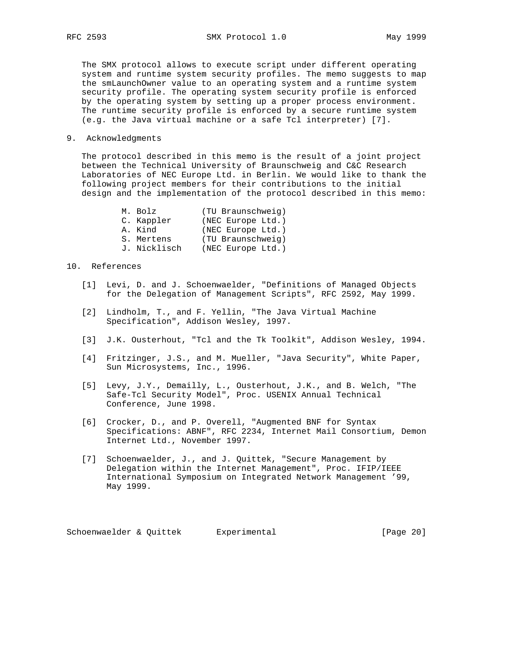The SMX protocol allows to execute script under different operating system and runtime system security profiles. The memo suggests to map the smLaunchOwner value to an operating system and a runtime system security profile. The operating system security profile is enforced by the operating system by setting up a proper process environment. The runtime security profile is enforced by a secure runtime system (e.g. the Java virtual machine or a safe Tcl interpreter) [7].

## 9. Acknowledgments

 The protocol described in this memo is the result of a joint project between the Technical University of Braunschweig and C&C Research Laboratories of NEC Europe Ltd. in Berlin. We would like to thank the following project members for their contributions to the initial design and the implementation of the protocol described in this memo:

| M. Bolz      | (TU Braunschweig) |
|--------------|-------------------|
| C. Kappler   | (NEC Europe Ltd.) |
| A. Kind      | (NEC Europe Ltd.) |
| S. Mertens   | (TU Braunschweig) |
| J. Nicklisch | (NEC Europe Ltd.) |

### 10. References

- [1] Levi, D. and J. Schoenwaelder, "Definitions of Managed Objects for the Delegation of Management Scripts", RFC 2592, May 1999.
- [2] Lindholm, T., and F. Yellin, "The Java Virtual Machine Specification", Addison Wesley, 1997.
- [3] J.K. Ousterhout, "Tcl and the Tk Toolkit", Addison Wesley, 1994.
- [4] Fritzinger, J.S., and M. Mueller, "Java Security", White Paper, Sun Microsystems, Inc., 1996.
- [5] Levy, J.Y., Demailly, L., Ousterhout, J.K., and B. Welch, "The Safe-Tcl Security Model", Proc. USENIX Annual Technical Conference, June 1998.
- [6] Crocker, D., and P. Overell, "Augmented BNF for Syntax Specifications: ABNF", RFC 2234, Internet Mail Consortium, Demon Internet Ltd., November 1997.
- [7] Schoenwaelder, J., and J. Quittek, "Secure Management by Delegation within the Internet Management", Proc. IFIP/IEEE International Symposium on Integrated Network Management '99, May 1999.

Schoenwaelder & Quittek Experimental (Page 20)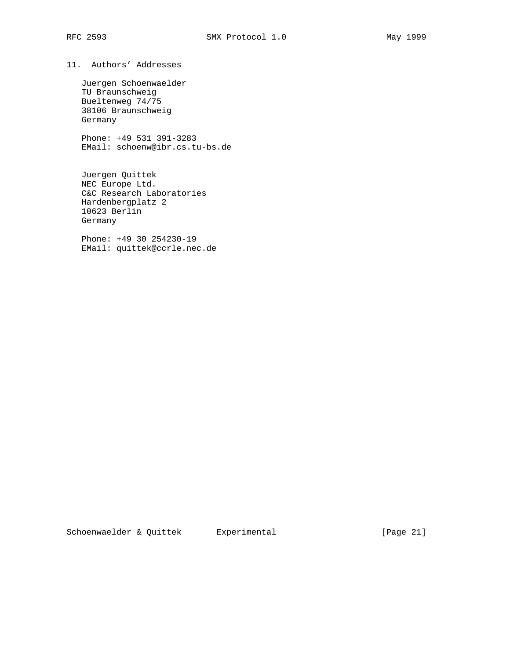11. Authors' Addresses

 Juergen Schoenwaelder TU Braunschweig Bueltenweg 74/75 38106 Braunschweig Germany

 Phone: +49 531 391-3283 EMail: schoenw@ibr.cs.tu-bs.de

 Juergen Quittek NEC Europe Ltd. C&C Research Laboratories Hardenbergplatz 2 10623 Berlin Germany

 Phone: +49 30 254230-19 EMail: quittek@ccrle.nec.de